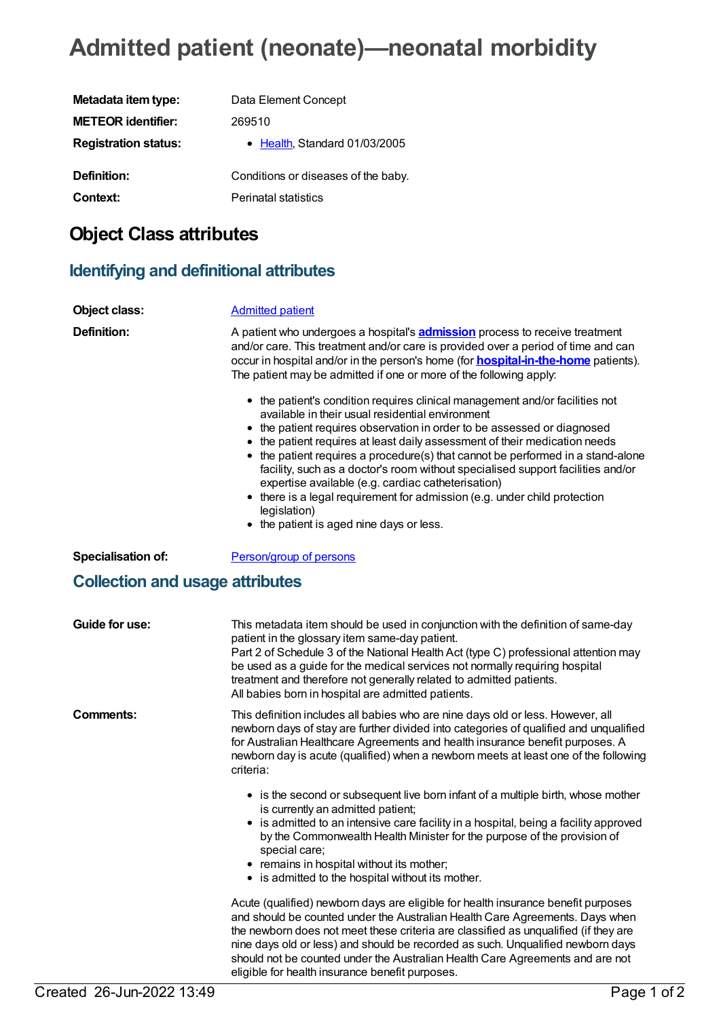# **Admitted patient (neonate)—neonatal morbidity**

| Data Element Concept                |
|-------------------------------------|
| 269510                              |
| • Health Standard 01/03/2005        |
| Conditions or diseases of the baby. |
| <b>Perinatal statistics</b>         |
|                                     |

# **Object Class attributes**

## **Identifying and definitional attributes**

| Object class:                          | <b>Admitted patient</b>                                                                                                                                                                                                                                                                                                                                                                                                                                                                                                                                                                                                                                    |
|----------------------------------------|------------------------------------------------------------------------------------------------------------------------------------------------------------------------------------------------------------------------------------------------------------------------------------------------------------------------------------------------------------------------------------------------------------------------------------------------------------------------------------------------------------------------------------------------------------------------------------------------------------------------------------------------------------|
| <b>Definition:</b>                     | A patient who undergoes a hospital's <b>admission</b> process to receive treatment<br>and/or care. This treatment and/or care is provided over a period of time and can<br>occur in hospital and/or in the person's home (for <b>hospital-in-the-home</b> patients).<br>The patient may be admitted if one or more of the following apply:                                                                                                                                                                                                                                                                                                                 |
|                                        | • the patient's condition requires clinical management and/or facilities not<br>available in their usual residential environment<br>the patient requires observation in order to be assessed or diagnosed<br>the patient requires at least daily assessment of their medication needs<br>• the patient requires a procedure(s) that cannot be performed in a stand-alone<br>facility, such as a doctor's room without specialised support facilities and/or<br>expertise available (e.g. cardiac catheterisation)<br>• there is a legal requirement for admission (e.g. under child protection<br>legislation)<br>• the patient is aged nine days or less. |
| <b>Specialisation of:</b>              | Person/group of persons                                                                                                                                                                                                                                                                                                                                                                                                                                                                                                                                                                                                                                    |
| <b>Collection and usage attributes</b> |                                                                                                                                                                                                                                                                                                                                                                                                                                                                                                                                                                                                                                                            |
| Guide for use:                         | This metadata item should be used in conjunction with the definition of same-day<br>patient in the glossary item same-day patient.<br>Part 2 of Schedule 3 of the National Health Act (type C) professional attention may<br>be used as a guide for the medical services not normally requiring hospital<br>treatment and therefore not generally related to admitted patients.<br>All babies born in hospital are admitted patients.                                                                                                                                                                                                                      |
| <b>Comments:</b>                       | This definition includes all babies who are nine days old or less. However, all<br>newborn days of stay are further divided into categories of qualified and unqualified<br>for Australian Healthcare Agreements and health insurance benefit purposes. A<br>newborn day is acute (qualified) when a newborn meets at least one of the following<br>criteria:                                                                                                                                                                                                                                                                                              |
|                                        | • is the second or subsequent live born infant of a multiple birth, whose mother<br>is currently an admitted patient;<br>• is admitted to an intensive care facility in a hospital, being a facility approved<br>by the Commonwealth Health Minister for the purpose of the provision of                                                                                                                                                                                                                                                                                                                                                                   |
|                                        | special care;<br>remains in hospital without its mother;<br>• is admitted to the hospital without its mother.                                                                                                                                                                                                                                                                                                                                                                                                                                                                                                                                              |